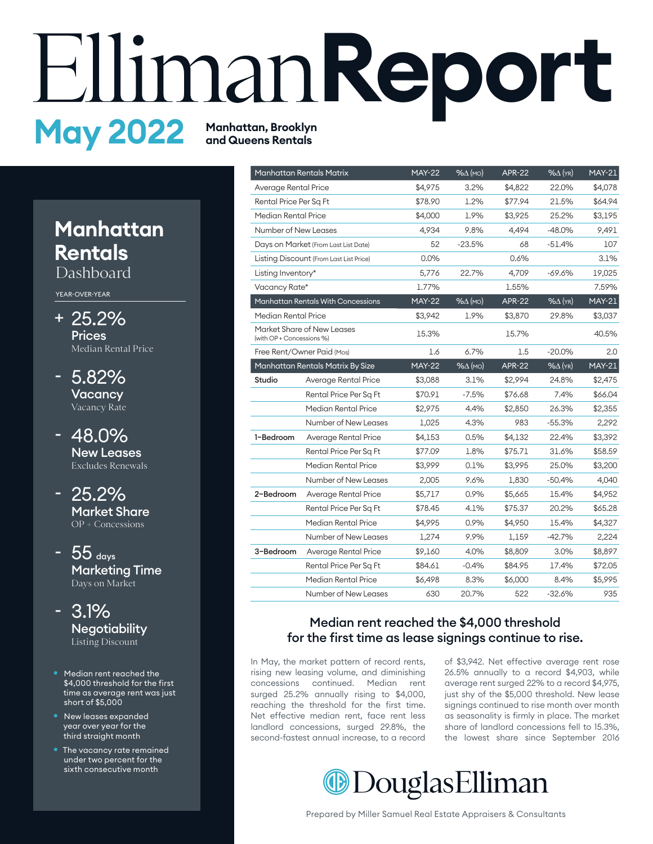# **Report and Queens Rentals**

# **Manhatan Rentals**

Dashboard

YEAR-OVER-YEAR

- 25.2% + **Prices** Median Rental Price
- 5.82% **Vacancy** Vacancy Rate -
- 48.0% New Leases Excludes Renewals
- 25.2% Market Share OP + Concessions
- $-55$  days Marketing Time Days on Market
- 3.1% **Negotiability** Listing Discount
- Median rent reached the \$4,000 threshold for the first time as average rent was just short of \$5,000
- New leases expanded year over year for the third straight month
- The vacancy rate remained under two percent for the sixth consecutive month

|                            | <b>Manhattan Rentals Matrix</b>         | <b>MAY-22</b> | $% \triangle (MO)$ | <b>APR-22</b> | $%$ $\Delta$ (YR)  | <b>MAY-21</b> |
|----------------------------|-----------------------------------------|---------------|--------------------|---------------|--------------------|---------------|
| Average Rental Price       |                                         | \$4.975       | 3.2%               | \$4,822       | 22.0%              | \$4,078       |
| Rental Price Per Sq Ft     |                                         | \$78.90       | 1.2%               | \$77.94       | 21.5%              | \$64.94       |
| Median Rental Price        |                                         | \$4,000       | 1.9%               | \$3,925       | 25.2%              | \$3,195       |
| Number of New Leases       |                                         | 4,934         | 9.8%               | 4,494         | $-48.0%$           | 9,491         |
|                            | Days on Market (From Last List Date)    | 52            | $-23.5%$           | 68            | -51.4%             | 107           |
|                            | Listing Discount (From Last List Price) | 0.0%          |                    | 0.6%          |                    | 3.1%          |
| Listing Inventory*         |                                         | 5,776         | 22.7%              | 4,709         | -69.6%             | 19,025        |
| Vacancy Rate*              |                                         | 1.77%         |                    | 1.55%         |                    | 7.59%         |
|                            | Manhattan Rentals With Concessions      | <b>MAY-22</b> | $% \triangle (MO)$ | <b>APR-22</b> | $% \triangle (YR)$ | $MAY-21$      |
| Median Rental Price        |                                         | \$3,942       | 1.9%               | \$3,870       | 29.8%              | \$3,037       |
| (with OP + Concessions %)  | Market Share of New Leases              | 15.3%         |                    | 15.7%         |                    | 40.5%         |
| Free Rent/Owner Paid (Mos) |                                         | 1.6           | 6.7%               | 1.5           | $-20.0%$           | 2.0           |
|                            | Manhattan Rentals Matrix By Size        | <b>MAY-22</b> | $% \triangle (MO)$ | <b>APR-22</b> | $% \Delta$ (YR)    | <b>MAY-21</b> |
| Studio                     | Average Rental Price                    | \$3,088       | 3.1%               | \$2,994       | 24.8%              | \$2,475       |
|                            | Rental Price Per Sq Ft                  | \$70.91       | $-7.5%$            | \$76.68       | 7.4%               | \$66.04       |
|                            | Median Rental Price                     | \$2,975       | 4.4%               | \$2,850       | 26.3%              | \$2,355       |
|                            | Number of New Leases                    | 1,025         | 4.3%               | 983           | $-55.3%$           | 2,292         |
| 1-Bedroom                  | Average Rental Price                    | \$4,153       | 0.5%               | \$4,132       | 22.4%              | \$3,392       |
|                            | Rental Price Per Sq Ft                  | \$77.09       | 1.8%               | \$75.71       | 31.6%              | \$58.59       |
|                            | Median Rental Price                     | \$3,999       | 0.1%               | \$3,995       | 25.0%              | \$3,200       |
|                            | Number of New Leases                    | 2,005         | 9.6%               | 1,830         | $-50.4%$           | 4,040         |
| 2-Bedroom                  | Average Rental Price                    | \$5,717       | 0.9%               | \$5,665       | 15.4%              | \$4,952       |
|                            | Rental Price Per Sq Ft                  | \$78.45       | 4.1%               | \$75.37       | 20.2%              | \$65.28       |
|                            | Median Rental Price                     | \$4,995       | 0.9%               | \$4,950       | 15.4%              | \$4,327       |
|                            | Number of New Leases                    | 1,274         | 9.9%               | 1,159         | $-42.7%$           | 2,224         |
| 3-Bedroom                  | Average Rental Price                    | \$9,160       | 4.0%               | \$8,809       | 3.0%               | \$8,897       |
|                            | Rental Price Per Sq Ft                  | \$84.61       | $-0.4%$            | \$84.95       | 17.4%              | \$72.05       |
|                            | Median Rental Price                     | \$6,498       | 8.3%               | \$6,000       | 8.4%               | \$5,995       |
|                            | Number of New Leases                    | 630           | 20.7%              | 522           | $-32.6%$           | 935           |

### Median rent reached the \$4,000 threshold for the first time as lease signings continue to rise.

In May, the market pattern of record rents, rising new leasing volume, and diminishing concessions continued. Median rent surged 25.2% annually rising to \$4,000, reaching the threshold for the first time. Net effective median rent, face rent less landlord concessions, surged 29.8%, the second-fastest annual increase, to a record of \$3,942. Net effective average rent rose 26.5% annually to a record \$4,903, while average rent surged 22% to a record \$4,975, just shy of the \$5,000 threshold. New lease signings continued to rise month over month as seasonality is firmly in place. The market share of landlord concessions fell to 15.3%, the lowest share since September 2016

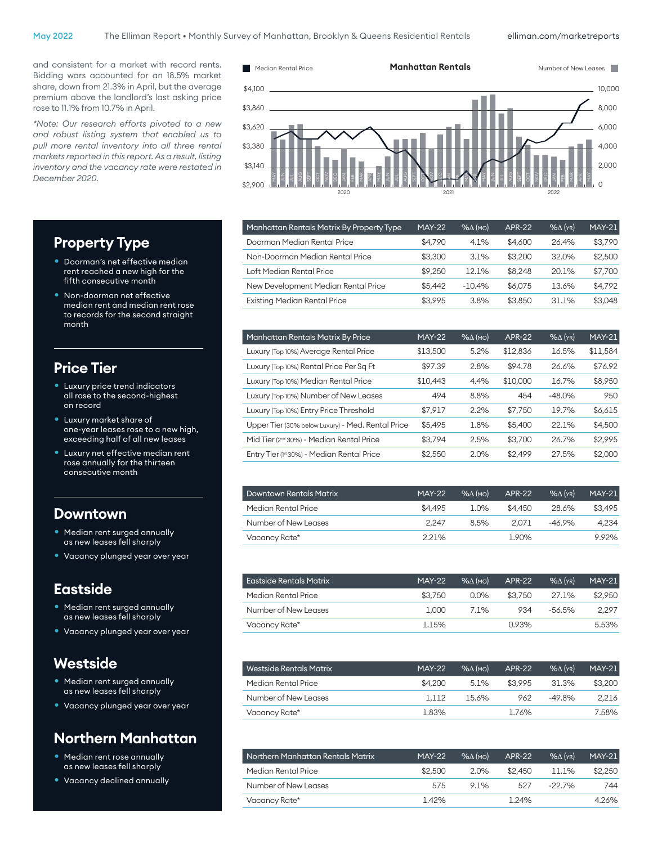240

and consistent for a market with record rents. Bidding wars accounted for an 18.5% market share, down from 21.3% in April, but the average premium above the landlord's last asking price rose to 11.1% from 10.7% in April.

*\*Note: Our research efforts pivoted to a new and robust listing system that enabled us to pull more rental inventory into all three rental markets reported in this report. As a result, listing inventory and the vacancy rate were restated in December 2020.*



| Manhattan Rentals Matrix By Property Type | <b>MAY-22</b> | $% \triangle$ (MO) | <b>APR-22</b> | $%$ $(YR)$ | <b>MAY-21</b> |
|-------------------------------------------|---------------|--------------------|---------------|------------|---------------|
| Doorman Median Rental Price               | \$4.790       | 4.1%               | \$4,600       | 26.4%      | \$3,790       |
| Non-Doorman Median Rental Price           | \$3,300       | 3.1%               | \$3,200       | 32.0%      | \$2,500       |
| Loft Median Rental Price                  | \$9,250       | 12.1%              | \$8.248       | 20.1%      | \$7,700       |
| New Development Median Rental Price       | \$5.442       | $-10.4%$           | \$6.075       | 13.6%      | \$4.792       |
| <b>Existing Median Rental Price</b>       | \$3.995       | 3.8%               | \$3,850       | 31.1%      | \$3,048       |
|                                           |               |                    |               |            |               |

| Manhattan Rentals Matrix By Price                    | <b>MAY-22</b> | $% \triangle (MO)$ | <b>APR-22</b> | $%$ $\Delta$ (YR) | <b>MAY-21</b> |
|------------------------------------------------------|---------------|--------------------|---------------|-------------------|---------------|
| Luxury (Top 10%) Average Rental Price                | \$13,500      | 5.2%               | \$12,836      | 16.5%             | \$11,584      |
| Luxury (Top 10%) Rental Price Per Sq Ft              | \$97.39       | 2.8%               | \$94.78       | 26.6%             | \$76.92       |
| Luxury (Top 10%) Median Rental Price                 | \$10,443      | 4.4%               | \$10,000      | 16.7%             | \$8,950       |
| Luxury (Top 10%) Number of New Leases                | 494           | 8.8%               | 454           | $-48.0%$          | 950           |
| Luxury (Top 10%) Entry Price Threshold               | \$7,917       | 2.2%               | \$7,750       | 19.7%             | \$6,615       |
| Upper Tier (30% below Luxury) - Med. Rental Price    | \$5,495       | 1.8%               | \$5,400       | 22.1%             | \$4,500       |
| Mid Tier (2 <sup>nd</sup> 30%) - Median Rental Price | \$3.794       | 2.5%               | \$3,700       | 26.7%             | \$2,995       |
| Entry Tier (1st 30%) - Median Rental Price           | \$2,550       | 2.0%               | \$2.499       | 27.5%             | \$2,000       |

| <b>Downtown Rentals Matrix</b> | <b>MAY-22</b> | $%$ $\Lambda$ (MO) | <b>APR-22</b> | $%$ $(\gamma_R)$ | <b>MAY-21</b> |
|--------------------------------|---------------|--------------------|---------------|------------------|---------------|
| Median Rental Price            | \$4,495       | $1.0\%$            | \$4,450       | 28.6%            | \$3.495       |
| Number of New Leases           | 2.247         | 8.5%               | 2.071         | $-46.9%$         | 4.234         |
| Vacancy Rate*                  | 2.21%         |                    | 1.90%         |                  | 9.92%         |

| Eastside Rentals Matrix | <b>MAY-22</b> | $\sqrt{96\Lambda}$ (MO) | <b>APR-22</b> | $\%$ $\wedge$ (YR) | <b>MAY-21</b> |
|-------------------------|---------------|-------------------------|---------------|--------------------|---------------|
| Median Rental Price     | \$3.750       | $0.0\%$                 | \$3.750       | 27.1%              | \$2,950       |
| Number of New Leases    | 1.000         | 7.1%                    | 934           | -56.5%             | 2.297         |
| Vacancy Rate*           | 1.15%         |                         | 0.93%         |                    | 5.53%         |

| ' Westside Rentals Matrix . | <b>MAY-22</b> | $%$ $\Lambda$ (MO) | APR-22  | $%$ $(\gamma_R)$ | $MAY-21$ |
|-----------------------------|---------------|--------------------|---------|------------------|----------|
| Median Rental Price         | \$4,200       | 5.1%               | \$3.995 | 31.3%            | \$3,200  |
| Number of New Leases        | 1.112         | 15.6%              | 962     | $-49.8\%$        | 2.216    |
| Vacancy Rate*               | 1.83%         |                    | 1.76%   |                  | 7.58%    |

| Northern Manhattan Rentals Matrix | <b>MAY-22</b> | $%$ $\Lambda$ (MO) | <b>APR-22</b> | $\%$ $\wedge$ (YR) | $MAY-21$ |
|-----------------------------------|---------------|--------------------|---------------|--------------------|----------|
| Median Rental Price               | \$2,500       | 2.0%               | \$2.450       | 11.1%              | \$2.250  |
| Number of New Leases              | 575           | 91%                | 527           | $-22.7\%$          | 744      |
| Vacancy Rate*                     | 1.42%         |                    | 1.24%         |                    | 4.26%    |

# **Property Type**

- Doorman's net effective median rent reached a new high for the fifth consecutive month
- Non-doorman net effective median rent and median rent rose to records for the second straight month

#### **Price Tier**

- Luxury price trend indicators all rose to the second-highest on record
- Luxury market share of one-year leases rose to a new high, exceeding half of all new leases
- Luxury net effective median rent rose annually for the thirteen consecutive month

#### **Downtown**

- Median rent surged annually as new leases fell sharply
- Vacancy plunged year over year

\$2,650

#### **Eastside**

- Median rent surged annually as new leases fell sharply
- Vacancy plunged year over year

## **Westside**

- Median rent surged annually as new leases fell sharply
- Vacancy plunged year over year

## **Northern Manhatan**

- Median rent rose annually as new leases fell sharply
- Vacancy declined annually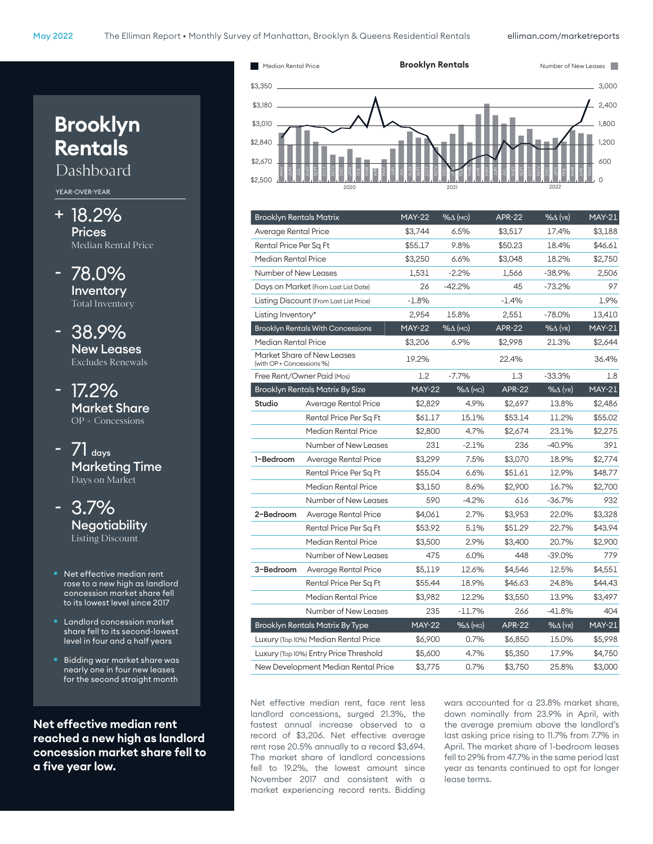

| <b>Brooklyn Rentals Matrix</b>         |                                          | <b>MAY-22</b> | $% \triangle (MO)$ | <b>APR-22</b> | $% \triangle$ (YR) | <b>MAY-21</b> |
|----------------------------------------|------------------------------------------|---------------|--------------------|---------------|--------------------|---------------|
|                                        |                                          |               |                    |               |                    |               |
| Average Rental Price                   |                                          | \$3.744       | 6.5%               | \$3,517       | 17.4%              | \$3,188       |
| Rental Price Per Sq Ft                 |                                          | \$55.17       | 9.8%               | \$50.23       | 18.4%              | \$46.61       |
| Median Rental Price                    |                                          | \$3,250       | 6.6%               | \$3,048       | 18.2%              | \$2,750       |
| Number of New Leases                   |                                          | 1,531         | $-2.2%$            | 1,566         | $-38.9%$           | 2,506         |
|                                        | Days on Market (From Last List Date)     | 26            | $-42.2%$           | 45            | $-73.2%$           | 97            |
|                                        | Listing Discount (From Last List Price)  | $-1.8%$       |                    | $-1.4%$       |                    | 1.9%          |
| Listing Inventory*                     |                                          | 2,954         | 15.8%              | 2,551         | $-78.0%$           | 13,410        |
|                                        | <b>Brooklyn Rentals With Concessions</b> | <b>MAY-22</b> | $% \Delta (MO)$    | <b>APR-22</b> | $%$ $\Delta$ (YR)  | <b>MAY-21</b> |
| Median Rental Price                    |                                          | \$3,206       | 6.9%               | \$2,998       | 21.3%              | \$2,644       |
| (with OP + Concessions %)              | Market Share of New Leases               | 19.2%         |                    | 22.4%         |                    | 36.4%         |
|                                        | Free Rent/Owner Paid (Mos)               | 1.2           | $-7.7%$            | 1.3           | $-33.3%$           | 1.8           |
|                                        | <b>Brooklyn Rentals Matrix By Size</b>   | <b>MAY-22</b> | $% \Delta (MO)$    | <b>APR-22</b> | $%$ $\Delta$ (YR)  | <b>MAY-21</b> |
| Studio                                 | Average Rental Price                     | \$2,829       | 4.9%               | \$2,697       | 13.8%              | \$2,486       |
|                                        | Rental Price Per Sq Ft                   | \$61.17       | 15.1%              | \$53.14       | 11.2%              | \$55.02       |
|                                        | Median Rental Price                      | \$2,800       | 4.7%               | \$2,674       | 23.1%              | \$2,275       |
|                                        | Number of New Leases                     | 231           | $-2.1%$            | 236           | $-40.9%$           | 391           |
| 1-Bedroom                              | Average Rental Price                     | \$3,299       | 7.5%               | \$3,070       | 18.9%              | \$2,774       |
|                                        | Rental Price Per Sq Ft                   | \$55.04       | 6.6%               | \$51.61       | 12.9%              | \$48.77       |
|                                        | Median Rental Price                      | \$3,150       | 8.6%               | \$2,900       | 16.7%              | \$2,700       |
|                                        | Number of New Leases                     | 590           | $-4.2%$            | 616           | $-36.7%$           | 932           |
| 2-Bedroom                              | Average Rental Price                     | \$4,061       | 2.7%               | \$3,953       | 22.0%              | \$3,328       |
|                                        | Rental Price Per Sq Ft                   | \$53.92       | 5.1%               | \$51.29       | 22.7%              | \$43.94       |
|                                        | Median Rental Price                      | \$3,500       | 2.9%               | \$3,400       | 20.7%              | \$2,900       |
|                                        | Number of New Leases                     | 475           | 6.0%               | 448           | $-39.0\%$          | 779           |
| 3-Bedroom                              | Average Rental Price                     | \$5,119       | 12.6%              | \$4,546       | 12.5%              | \$4,551       |
|                                        | Rental Price Per Sq Ft                   | \$55.44       | 18.9%              | \$46.63       | 24.8%              | \$44.43       |
|                                        | Median Rental Price                      | \$3,982       | 12.2%              | \$3,550       | 13.9%              | \$3,497       |
|                                        | Number of New Leases                     | 235           | $-11.7\%$          | 266           | $-41.8%$           | 404           |
| <b>Brooklyn Rentals Matrix By Type</b> |                                          | $MAY-22$      | $% \triangle (MO)$ | <b>APR-22</b> | $%$ $\Delta$ (YR)  | <b>MAY-21</b> |
| Luxury (Top 10%) Median Rental Price   |                                          | \$6,900       | 0.7%               | \$6,850       | 15.0%              | \$5,998       |
|                                        | Luxury (Top 10%) Entry Price Threshold   | \$5,600       | 4.7%               | \$5,350       | 17.9%              | \$4,750       |
|                                        | New Development Median Rental Price      | \$3,775       | 0.7%               | \$3,750       | 25.8%              | \$3,000       |

Net effective median rent, face rent less landlord concessions, surged 21.3%, the fastest annual increase observed to a record of \$3,206. Net effective average rent rose 20.5% annually to a record \$3,694. The market share of landlord concessions fell to 19.2%, the lowest amount since November 2017 and consistent with a market experiencing record rents. Bidding wars accounted for a 23.8% market share, down nominally from 23.9% in April, with the average premium above the landlord's last asking price rising to 11.7% from 7.7% in April. The market share of 1-bedroom leases fell to 29% from 47.7% in the same period last year as tenants continued to opt for longer lease terms.

# **Rentals** Dashboard YEAR-OVER-YEAR

**Brooklyn**

- + 18.2% Prices Median Rental Price
- 78.0% Inventory Total Inventory
- 38.9% New Leases Excludes Renewals
- 17.2% Market Share OP + Concessions
- $71$  days Marketing Time Days on Market
- 3.7% **Negotiability** Listing Discount
- Net effective median rent rose to a new high as landlord concession market share fell to its lowest level since 2017
- Landlord concession market share fell to its second-lowest level in four and a half years
- Bidding war market share was nearly one in four new leases for the second straight month

**Net effective median rent reached a new high as landlord concession market share fell to a fve year low.**